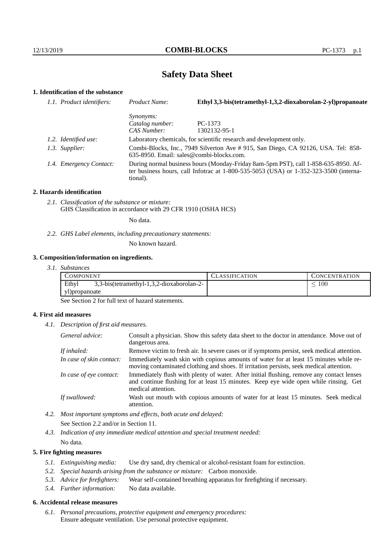# **Safety Data Sheet**

# **1. Identification of the substance**

| 1.1. Product identifiers: | Product Name:                                                                                                                                                                           | Ethyl 3,3-bis(tetramethyl-1,3,2-dioxaborolan-2-yl)propanoate        |  |  |
|---------------------------|-----------------------------------------------------------------------------------------------------------------------------------------------------------------------------------------|---------------------------------------------------------------------|--|--|
|                           | <i>Synonyms:</i>                                                                                                                                                                        |                                                                     |  |  |
|                           | Catalog number:                                                                                                                                                                         | PC-1373                                                             |  |  |
|                           | CAS Number:                                                                                                                                                                             | 1302132-95-1                                                        |  |  |
| 1.2. Identified use:      |                                                                                                                                                                                         | Laboratory chemicals, for scientific research and development only. |  |  |
| 1.3. Supplier:            | Combi-Blocks, Inc., 7949 Silverton Ave # 915, San Diego, CA 92126, USA. Tel: 858-<br>$635-8950$ . Email: sales@combi-blocks.com.                                                        |                                                                     |  |  |
| 1.4. Emergency Contact:   | During normal business hours (Monday-Friday 8am-5pm PST), call 1-858-635-8950. Af-<br>ter business hours, call Infotrac at 1-800-535-5053 (USA) or 1-352-323-3500 (interna-<br>tional). |                                                                     |  |  |

## **2. Hazards identification**

*2.1. Classification of the substance or mixture:* GHS Classification in accordance with 29 CFR 1910 (OSHA HCS)

No data.

*2.2. GHS Label elements, including precautionary statements:*

No known hazard.

# **3. Composition/information on ingredients.**

*3.1. Substances*

| COMPONENT                                          | 'LASSIFICATION | CONCENTRATION |
|----------------------------------------------------|----------------|---------------|
| Ethyl<br>3,3-bis(tetramethyl-1,3,2-dioxaborolan-2- |                | 100           |
| yl)propanoate                                      |                |               |

See Section 2 for full text of hazard statements.

# **4. First aid measures**

*4.1. Description of first aid measures.*

| General advice:          | Consult a physician. Show this safety data sheet to the doctor in attendance. Move out of<br>dangerous area.                                                                                            |
|--------------------------|---------------------------------------------------------------------------------------------------------------------------------------------------------------------------------------------------------|
| If inhaled:              | Remove victim to fresh air. In severe cases or if symptoms persist, seek medical attention.                                                                                                             |
| In case of skin contact: | Immediately wash skin with copious amounts of water for at least 15 minutes while re-<br>moving contaminated clothing and shoes. If irritation persists, seek medical attention.                        |
| In case of eye contact:  | Immediately flush with plenty of water. After initial flushing, remove any contact lenses<br>and continue flushing for at least 15 minutes. Keep eye wide open while rinsing. Get<br>medical attention. |
| If swallowed:            | Wash out mouth with copious amounts of water for at least 15 minutes. Seek medical<br>attention.                                                                                                        |

*4.2. Most important symptoms and effects, both acute and delayed:* See Section 2.2 and/or in Section 11.

*4.3. Indication of any immediate medical attention and special treatment needed:* No data.

# **5. Fire fighting measures**

- *5.1. Extinguishing media:* Use dry sand, dry chemical or alcohol-resistant foam for extinction.
- *5.2. Special hazards arising from the substance or mixture:* Carbon monoxide.
- *5.3. Advice for firefighters:* Wear self-contained breathing apparatus for firefighting if necessary.
- *5.4. Further information:* No data available.

# **6. Accidental release measures**

*6.1. Personal precautions, protective equipment and emergency procedures:* Ensure adequate ventilation. Use personal protective equipment.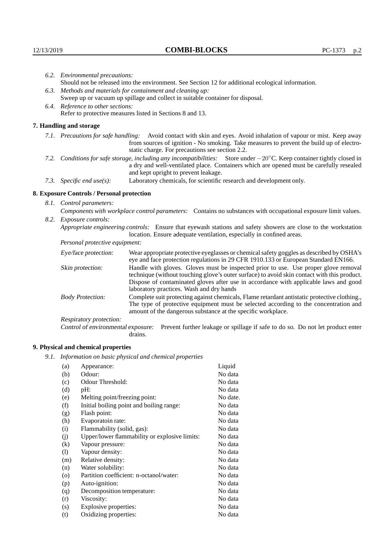|                                                                                                    | 6.2. Environmental precautions:                                                                                                                                                                                                                                     |                                                                                                                                                                                        |  |
|----------------------------------------------------------------------------------------------------|---------------------------------------------------------------------------------------------------------------------------------------------------------------------------------------------------------------------------------------------------------------------|----------------------------------------------------------------------------------------------------------------------------------------------------------------------------------------|--|
| Should not be released into the environment. See Section 12 for additional ecological information. |                                                                                                                                                                                                                                                                     |                                                                                                                                                                                        |  |
| 6.3. Methods and materials for containment and cleaning up:                                        |                                                                                                                                                                                                                                                                     |                                                                                                                                                                                        |  |
|                                                                                                    |                                                                                                                                                                                                                                                                     | Sweep up or vacuum up spillage and collect in suitable container for disposal.                                                                                                         |  |
| 6.4. Reference to other sections:                                                                  |                                                                                                                                                                                                                                                                     |                                                                                                                                                                                        |  |
| Refer to protective measures listed in Sections 8 and 13.                                          |                                                                                                                                                                                                                                                                     |                                                                                                                                                                                        |  |
|                                                                                                    | 7. Handling and storage                                                                                                                                                                                                                                             |                                                                                                                                                                                        |  |
|                                                                                                    | 7.1. Precautions for safe handling: Avoid contact with skin and eyes. Avoid inhalation of vapour or mist. Keep away<br>from sources of ignition - No smoking. Take measures to prevent the build up of electro-<br>static charge. For precautions see section 2.2.  |                                                                                                                                                                                        |  |
|                                                                                                    | 7.2. Conditions for safe storage, including any incompatibilities: Store under $-20^{\circ}$ C. Keep container tightly closed in<br>a dry and well-ventilated place. Containers which are opened must be carefully resealed<br>and kept upright to prevent leakage. |                                                                                                                                                                                        |  |
|                                                                                                    | 7.3. Specific end use(s):                                                                                                                                                                                                                                           | Laboratory chemicals, for scientific research and development only.                                                                                                                    |  |
|                                                                                                    | 8. Exposure Controls / Personal protection                                                                                                                                                                                                                          |                                                                                                                                                                                        |  |
|                                                                                                    | 8.1. Control parameters:                                                                                                                                                                                                                                            |                                                                                                                                                                                        |  |
|                                                                                                    | Components with workplace control parameters: Contains no substances with occupational exposure limit values.                                                                                                                                                       |                                                                                                                                                                                        |  |
|                                                                                                    |                                                                                                                                                                                                                                                                     |                                                                                                                                                                                        |  |
|                                                                                                    | 8.2. Exposure controls:                                                                                                                                                                                                                                             |                                                                                                                                                                                        |  |
|                                                                                                    |                                                                                                                                                                                                                                                                     | Appropriate engineering controls: Ensure that eyewash stations and safety showers are close to the workstation<br>location. Ensure adequate ventilation, especially in confined areas. |  |
|                                                                                                    | Personal protective equipment:                                                                                                                                                                                                                                      |                                                                                                                                                                                        |  |
|                                                                                                    | Eye/face protection:                                                                                                                                                                                                                                                | Wear appropriate protective eyeglasses or chemical safety goggles as described by OSHA's<br>eye and face protection regulations in 29 CFR 1910.133 or European Standard EN166.         |  |
|                                                                                                    | Skin protection:                                                                                                                                                                                                                                                    | Handle with gloves. Gloves must be inspected prior to use. Use proper glove removal<br>technique (without touching glove's outer surface) to avoid skin contact with this product.     |  |

# **8. Exposure Controls / Personal protection**

| Eye/face protection:               | Wear appropriate protective eyeglasses or chemical safety goggles as described by OSHA's<br>eye and face protection regulations in 29 CFR 1910.133 or European Standard EN166.                                                                                                                                         |                                                                                |  |
|------------------------------------|------------------------------------------------------------------------------------------------------------------------------------------------------------------------------------------------------------------------------------------------------------------------------------------------------------------------|--------------------------------------------------------------------------------|--|
| Skin protection:                   | Handle with gloves. Gloves must be inspected prior to use. Use proper glove removal<br>technique (without touching glove's outer surface) to avoid skin contact with this product.<br>Dispose of contaminated gloves after use in accordance with applicable laws and good<br>laboratory practices. Wash and dry hands |                                                                                |  |
| <b>Body Protection:</b>            | Complete suit protecting against chemicals, Flame retardant antistatic protective clothing.,<br>The type of protective equipment must be selected according to the concentration and<br>amount of the dangerous substance at the specific workplace.                                                                   |                                                                                |  |
| Respiratory protection:            |                                                                                                                                                                                                                                                                                                                        |                                                                                |  |
| Control of environmental exposure: | drains.                                                                                                                                                                                                                                                                                                                | Prevent further leakage or spillage if safe to do so. Do not let product enter |  |

# **9. Physical and chemical properties**

*9.1. Information on basic physical and chemical properties*

| (a)     | Appearance:                                   | Liquid   |
|---------|-----------------------------------------------|----------|
| (b)     | Odour:                                        | No data  |
| (c)     | Odour Threshold:                              | No data  |
| (d)     | pH:                                           | No data  |
| (e)     | Melting point/freezing point:                 | No date. |
| (f)     | Initial boiling point and boiling range:      | No data  |
| (g)     | Flash point:                                  | No data  |
| (h)     | Evaporatoin rate:                             | No data  |
| (i)     | Flammability (solid, gas):                    | No data  |
| (j)     | Upper/lower flammability or explosive limits: | No data  |
| (k)     | Vapour pressure:                              | No data  |
| (1)     | Vapour density:                               | No data  |
| (m)     | Relative density:                             | No data  |
| (n)     | Water solubility:                             | No data  |
| $\circ$ | Partition coefficient: n-octanol/water:       | No data  |
| (p)     | Auto-ignition:                                | No data  |
| (q)     | Decomposition temperature:                    | No data  |
| (r)     | Viscosity:                                    | No data  |
| (s)     | Explosive properties:                         | No data  |
| (t)     | Oxidizing properties:                         | No data  |
|         |                                               |          |